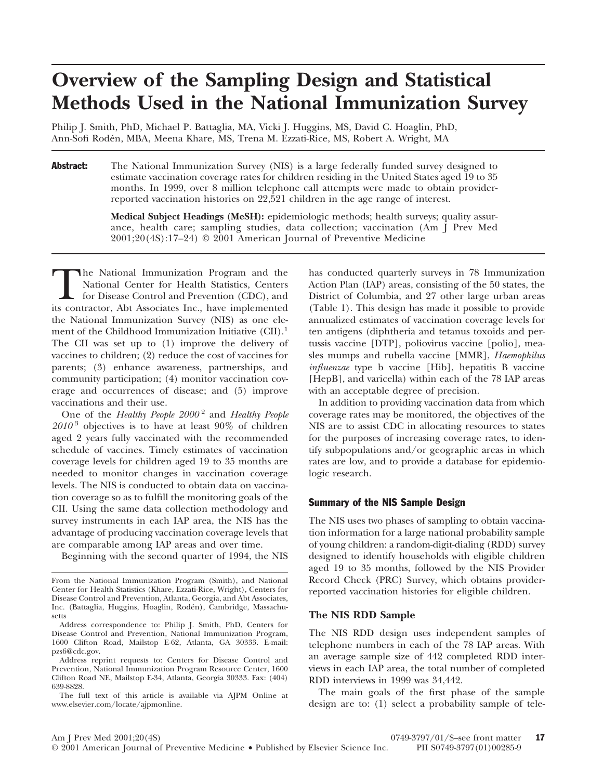# **Overview of the Sampling Design and Statistical Methods Used in the National Immunization Survey**

Philip J. Smith, PhD, Michael P. Battaglia, MA, Vicki J. Huggins, MS, David C. Hoaglin, PhD, Ann-Sofi Rode´n, MBA, Meena Khare, MS, Trena M. Ezzati-Rice, MS, Robert A. Wright, MA

**Abstract:** The National Immunization Survey (NIS) is a large federally funded survey designed to estimate vaccination coverage rates for children residing in the United States aged 19 to 35 months. In 1999, over 8 million telephone call attempts were made to obtain providerreported vaccination histories on 22,521 children in the age range of interest.

> **Medical Subject Headings (MeSH):** epidemiologic methods; health surveys; quality assurance, health care; sampling studies, data collection; vaccination (Am J Prev Med 2001;20(4S):17–24) © 2001 American Journal of Preventive Medicine

The National Immunization Program and the National Center for Health Statistics, Centers for Disease Control and Prevention (CDC), and its contractor, Abt Associates Inc., have implemented National Center for Health Statistics, Centers for Disease Control and Prevention (CDC), and the National Immunization Survey (NIS) as one element of the Childhood Immunization Initiative (CII).<sup>1</sup> The CII was set up to (1) improve the delivery of vaccines to children; (2) reduce the cost of vaccines for parents; (3) enhance awareness, partnerships, and community participation; (4) monitor vaccination coverage and occurrences of disease; and (5) improve vaccinations and their use.

One of the *Healthy People 2000* 2 and *Healthy People 2010* 3 objectives is to have at least 90% of children aged 2 years fully vaccinated with the recommended schedule of vaccines. Timely estimates of vaccination coverage levels for children aged 19 to 35 months are needed to monitor changes in vaccination coverage levels. The NIS is conducted to obtain data on vaccination coverage so as to fulfill the monitoring goals of the CII. Using the same data collection methodology and survey instruments in each IAP area, the NIS has the advantage of producing vaccination coverage levels that are comparable among IAP areas and over time.

Beginning with the second quarter of 1994, the NIS

The full text of this article is available via AJPM Online at www.elsevier.com/locate/ajpmonline.

has conducted quarterly surveys in 78 Immunization Action Plan (IAP) areas, consisting of the 50 states, the District of Columbia, and 27 other large urban areas (Table 1). This design has made it possible to provide annualized estimates of vaccination coverage levels for ten antigens (diphtheria and tetanus toxoids and pertussis vaccine [DTP], poliovirus vaccine [polio], measles mumps and rubella vaccine [MMR], *Haemophilus influenzae* type b vaccine [Hib], hepatitis B vaccine [HepB], and varicella) within each of the 78 IAP areas with an acceptable degree of precision.

In addition to providing vaccination data from which coverage rates may be monitored, the objectives of the NIS are to assist CDC in allocating resources to states for the purposes of increasing coverage rates, to identify subpopulations and/or geographic areas in which rates are low, and to provide a database for epidemiologic research.

#### Summary of the NIS Sample Design

The NIS uses two phases of sampling to obtain vaccination information for a large national probability sample of young children: a random-digit-dialing (RDD) survey designed to identify households with eligible children aged 19 to 35 months, followed by the NIS Provider Record Check (PRC) Survey, which obtains providerreported vaccination histories for eligible children.

#### **The NIS RDD Sample**

The NIS RDD design uses independent samples of telephone numbers in each of the 78 IAP areas. With an average sample size of 442 completed RDD interviews in each IAP area, the total number of completed RDD interviews in 1999 was 34,442.

The main goals of the first phase of the sample design are to: (1) select a probability sample of tele-

From the National Immunization Program (Smith), and National Center for Health Statistics (Khare, Ezzati-Rice, Wright), Centers for Disease Control and Prevention, Atlanta, Georgia, and Abt Associates, Inc. (Battaglia, Huggins, Hoaglin, Rodén), Cambridge, Massachusetts

Address correspondence to: Philip J. Smith, PhD, Centers for Disease Control and Prevention, National Immunization Program, 1600 Clifton Road, Mailstop E-62, Atlanta, GA 30333. E-mail: pzs6@cdc.gov.

Address reprint requests to: Centers for Disease Control and Prevention, National Immunization Program Resource Center, 1600 Clifton Road NE, Mailstop E-34, Atlanta, Georgia 30333. Fax: (404) 639-8828.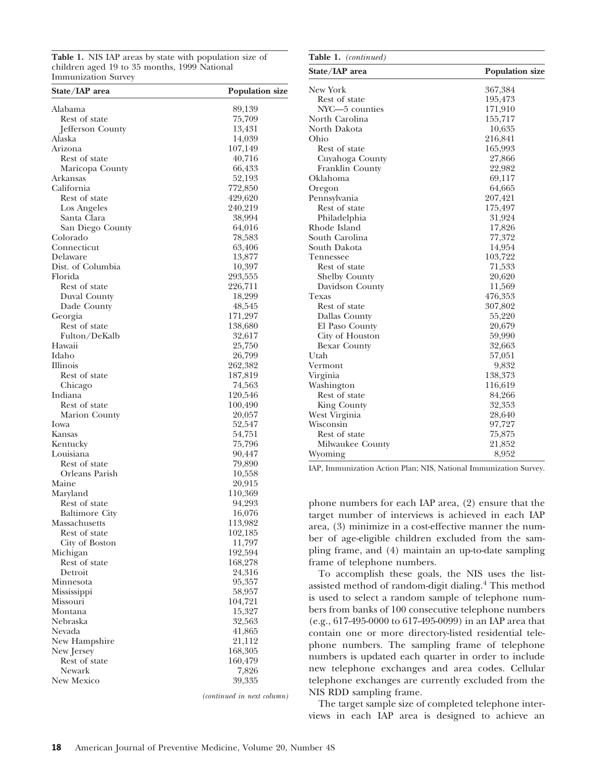**Table 1.** NIS IAP areas by state with population size of children aged 19 to 35 months, 1999 National Immunization Survey

| State/IAP area              | <b>Population size</b> |
|-----------------------------|------------------------|
|                             |                        |
| Alabama<br>Rest of state    | 89,139                 |
|                             | 75,709                 |
| Jefferson County            | 13,431                 |
| Alaska                      | 14,039                 |
| Arizona                     | 107,149                |
| Rest of state               | 40,716                 |
| Maricopa County             | 66,433                 |
| Arkansas                    | 52,193                 |
| California                  | 772,850                |
| Rest of state               | 429,620                |
| Los Angeles                 | 240,219                |
| Santa Clara                 | 38,994                 |
| San Diego County            | 64,016                 |
| Colorado                    | 78,583                 |
| Connecticut                 | 63,406                 |
| Delaware                    | 13,877                 |
| Dist. of Columbia           | 10,397                 |
| Florida                     | 293,555                |
| Rest of state               | 226,711                |
| Duval County                | 18,299                 |
| Dade County                 | 48,545                 |
| Georgia                     | 171,297                |
| Rest of state               | 138,680                |
| Fulton/DeKalb               | 32,617                 |
| Hawaii                      | 25,750                 |
| Idaho                       | 26,799                 |
| Illinois                    | 262,382                |
| Rest of state               | 187,819                |
| Chicago                     | 74,563                 |
| Indiana                     | 120,546                |
| Rest of state               | 100,490                |
| Marion County               | 20,057                 |
| Iowa                        | 52,547                 |
| Kansas                      | 54,751                 |
| Kentucky                    | 75,796                 |
| Louisiana                   | 90,447                 |
| Rest of state               | 79,890                 |
| Orleans Parish              | 10,558                 |
| Maine                       | 20,915                 |
| Maryland                    | 110,369                |
| Rest of state               | 94,293                 |
| <b>Baltimore City</b>       | 16,076                 |
| Massachusetts               | 113,982                |
| Rest of state               | 102,185                |
| City of Boston              | 11,797                 |
| Michigan                    | 192,594                |
| Rest of state<br>Detroit    | 168,278<br>24,316      |
|                             | 95,357                 |
| Minnesota                   |                        |
| Mississippi<br>Missouri     | 58,957                 |
|                             | 104,721                |
| Montana                     | 15,327                 |
| Nebraska<br>Nevada          | 32,563                 |
|                             | 41,865                 |
| New Hampshire               | 21,112                 |
| New Jersey<br>Rest of state | 168,305                |
|                             | 160,479                |
| Newark                      | 7,826                  |
| New Mexico                  | 39,335                 |

| (continued in next column) |  |  |  |
|----------------------------|--|--|--|
|----------------------------|--|--|--|

| State/IAP area       | <b>Population size</b> |
|----------------------|------------------------|
| New York             | 367,384                |
| Rest of state        | 195,473                |
| NYC-5 counties       | 171,910                |
| North Carolina       | 155,717                |
| North Dakota         | 10,635                 |
| Ohio                 | 216,841                |
| Rest of state        | 165,993                |
| Cuyahoga County      | 27,866                 |
| Franklin County      | 22,982                 |
| Oklahoma             | 69,117                 |
| Oregon               | 64,665                 |
| Pennsylvania         | 207,421                |
| Rest of state        | 175,497                |
| Philadelphia         | 31,924                 |
| Rhode Island         | 17,826                 |
| South Carolina       | 77,372                 |
| South Dakota         | 14,954                 |
| Tennessee            | 103,722                |
| Rest of state        | 71,533                 |
| <b>Shelby County</b> | 20,620                 |
| Davidson County      | 11,569                 |
| Texas                | 476,353                |
| Rest of state        | 307,802                |
| Dallas County        | 55,220                 |
| El Paso County       | 20,679                 |
| City of Houston      | 59,990                 |
| <b>Bexar County</b>  | 32,663                 |
| Utah                 | 57,051                 |
| Vermont              | 9,832                  |
| Virginia             | 138,373                |
| Washington           | 116,619                |
| Rest of state        | 84,266                 |
| King County          | 32,353                 |
| West Virginia        | 28,640                 |
| Wisconsin            | 97,727                 |
| Rest of state        | 75,875                 |
| Milwaukee County     | 21,852                 |
| Wyoming              | 8,952                  |

IAP, Immunization Action Plan; NIS, National Immunization Survey.

phone numbers for each IAP area, (2) ensure that the target number of interviews is achieved in each IAP area, (3) minimize in a cost-effective manner the number of age-eligible children excluded from the sampling frame, and (4) maintain an up-to-date sampling frame of telephone numbers.

To accomplish these goals, the NIS uses the listassisted method of random-digit dialing.4 This method is used to select a random sample of telephone numbers from banks of 100 consecutive telephone numbers (e.g., 617-495-0000 to 617-495-0099) in an IAP area that contain one or more directory-listed residential telephone numbers. The sampling frame of telephone numbers is updated each quarter in order to include new telephone exchanges and area codes. Cellular telephone exchanges are currently excluded from the NIS RDD sampling frame.

The target sample size of completed telephone interviews in each IAP area is designed to achieve an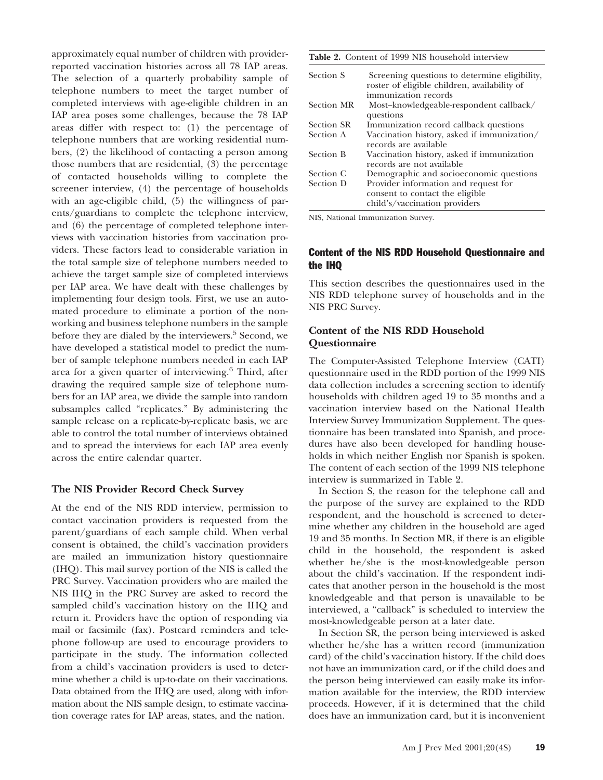approximately equal number of children with providerreported vaccination histories across all 78 IAP areas. The selection of a quarterly probability sample of telephone numbers to meet the target number of completed interviews with age-eligible children in an IAP area poses some challenges, because the 78 IAP areas differ with respect to: (1) the percentage of telephone numbers that are working residential numbers, (2) the likelihood of contacting a person among those numbers that are residential, (3) the percentage of contacted households willing to complete the screener interview, (4) the percentage of households with an age-eligible child, (5) the willingness of parents/guardians to complete the telephone interview, and (6) the percentage of completed telephone interviews with vaccination histories from vaccination providers. These factors lead to considerable variation in the total sample size of telephone numbers needed to achieve the target sample size of completed interviews per IAP area. We have dealt with these challenges by implementing four design tools. First, we use an automated procedure to eliminate a portion of the nonworking and business telephone numbers in the sample before they are dialed by the interviewers.<sup>5</sup> Second, we have developed a statistical model to predict the number of sample telephone numbers needed in each IAP area for a given quarter of interviewing.<sup>6</sup> Third, after drawing the required sample size of telephone numbers for an IAP area, we divide the sample into random subsamples called "replicates." By administering the sample release on a replicate-by-replicate basis, we are able to control the total number of interviews obtained and to spread the interviews for each IAP area evenly across the entire calendar quarter.

### **The NIS Provider Record Check Survey**

At the end of the NIS RDD interview, permission to contact vaccination providers is requested from the parent/guardians of each sample child. When verbal consent is obtained, the child's vaccination providers are mailed an immunization history questionnaire (IHQ). This mail survey portion of the NIS is called the PRC Survey. Vaccination providers who are mailed the NIS IHQ in the PRC Survey are asked to record the sampled child's vaccination history on the IHQ and return it. Providers have the option of responding via mail or facsimile (fax). Postcard reminders and telephone follow-up are used to encourage providers to participate in the study. The information collected from a child's vaccination providers is used to determine whether a child is up-to-date on their vaccinations. Data obtained from the IHQ are used, along with information about the NIS sample design, to estimate vaccination coverage rates for IAP areas, states, and the nation.

| <b>Table 2.</b> Content of 1999 NIS household interview |  |  |
|---------------------------------------------------------|--|--|
|                                                         |  |  |

| Section S  | Screening questions to determine eligibility,<br>roster of eligible children, availability of<br>immunization records |
|------------|-----------------------------------------------------------------------------------------------------------------------|
| Section MR | Most-knowledgeable-respondent callback/<br>questions                                                                  |
| Section SR | Immunization record callback questions                                                                                |
| Section A  | Vaccination history, asked if immunization/<br>records are available                                                  |
| Section B  | Vaccination history, asked if immunization<br>records are not available                                               |
| Section C  | Demographic and socioeconomic questions                                                                               |
| Section D  | Provider information and request for<br>consent to contact the eligible<br>child's/vaccination providers              |

NIS, National Immunization Survey.

### Content of the NIS RDD Household Questionnaire and the IHQ

This section describes the questionnaires used in the NIS RDD telephone survey of households and in the NIS PRC Survey.

## **Content of the NIS RDD Household Questionnaire**

The Computer-Assisted Telephone Interview (CATI) questionnaire used in the RDD portion of the 1999 NIS data collection includes a screening section to identify households with children aged 19 to 35 months and a vaccination interview based on the National Health Interview Survey Immunization Supplement. The questionnaire has been translated into Spanish, and procedures have also been developed for handling households in which neither English nor Spanish is spoken. The content of each section of the 1999 NIS telephone interview is summarized in Table 2.

In Section S, the reason for the telephone call and the purpose of the survey are explained to the RDD respondent, and the household is screened to determine whether any children in the household are aged 19 and 35 months. In Section MR, if there is an eligible child in the household, the respondent is asked whether he/she is the most-knowledgeable person about the child's vaccination. If the respondent indicates that another person in the household is the most knowledgeable and that person is unavailable to be interviewed, a "callback" is scheduled to interview the most-knowledgeable person at a later date.

In Section SR, the person being interviewed is asked whether he/she has a written record (immunization card) of the child's vaccination history. If the child does not have an immunization card, or if the child does and the person being interviewed can easily make its information available for the interview, the RDD interview proceeds. However, if it is determined that the child does have an immunization card, but it is inconvenient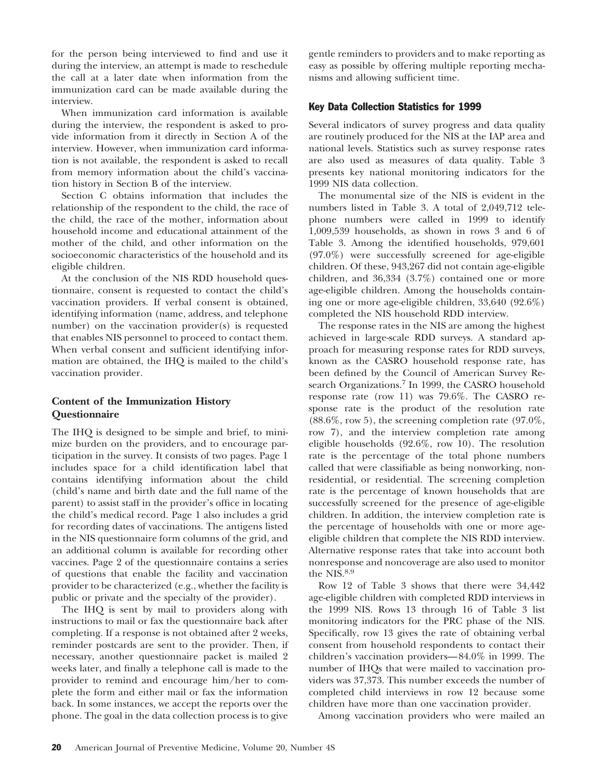for the person being interviewed to find and use it during the interview, an attempt is made to reschedule the call at a later date when information from the immunization card can be made available during the interview.

When immunization card information is available during the interview, the respondent is asked to provide information from it directly in Section A of the interview. However, when immunization card information is not available, the respondent is asked to recall from memory information about the child's vaccination history in Section B of the interview.

Section C obtains information that includes the relationship of the respondent to the child, the race of the child, the race of the mother, information about household income and educational attainment of the mother of the child, and other information on the socioeconomic characteristics of the household and its eligible children.

At the conclusion of the NIS RDD household questionnaire, consent is requested to contact the child's vaccination providers. If verbal consent is obtained, identifying information (name, address, and telephone number) on the vaccination provider(s) is requested that enables NIS personnel to proceed to contact them. When verbal consent and sufficient identifying information are obtained, the IHQ is mailed to the child's vaccination provider.

### **Content of the Immunization History Questionnaire**

The IHQ is designed to be simple and brief, to minimize burden on the providers, and to encourage participation in the survey. It consists of two pages. Page 1 includes space for a child identification label that contains identifying information about the child (child's name and birth date and the full name of the parent) to assist staff in the provider's office in locating the child's medical record. Page 1 also includes a grid for recording dates of vaccinations. The antigens listed in the NIS questionnaire form columns of the grid, and an additional column is available for recording other vaccines. Page 2 of the questionnaire contains a series of questions that enable the facility and vaccination provider to be characterized (e.g., whether the facility is public or private and the specialty of the provider).

The IHQ is sent by mail to providers along with instructions to mail or fax the questionnaire back after completing. If a response is not obtained after 2 weeks, reminder postcards are sent to the provider. Then, if necessary, another questionnaire packet is mailed 2 weeks later, and finally a telephone call is made to the provider to remind and encourage him/her to complete the form and either mail or fax the information back. In some instances, we accept the reports over the phone. The goal in the data collection process is to give

gentle reminders to providers and to make reporting as easy as possible by offering multiple reporting mechanisms and allowing sufficient time.

## Key Data Collection Statistics for 1999

Several indicators of survey progress and data quality are routinely produced for the NIS at the IAP area and national levels. Statistics such as survey response rates are also used as measures of data quality. Table 3 presents key national monitoring indicators for the 1999 NIS data collection.

The monumental size of the NIS is evident in the numbers listed in Table 3. A total of 2,049,712 telephone numbers were called in 1999 to identify 1,009,539 households, as shown in rows 3 and 6 of Table 3. Among the identified households, 979,601 (97.0%) were successfully screened for age-eligible children. Of these, 943,267 did not contain age-eligible children, and 36,334 (3.7%) contained one or more age-eligible children. Among the households containing one or more age-eligible children, 33,640 (92.6%) completed the NIS household RDD interview.

The response rates in the NIS are among the highest achieved in large-scale RDD surveys. A standard approach for measuring response rates for RDD surveys, known as the CASRO household response rate, has been defined by the Council of American Survey Research Organizations.<sup>7</sup> In 1999, the CASRO household response rate (row 11) was 79.6%. The CASRO response rate is the product of the resolution rate  $(88.6\%, \text{row } 5)$ , the screening completion rate  $(97.0\%, \text{row } 5)$ row 7), and the interview completion rate among eligible households (92.6%, row 10). The resolution rate is the percentage of the total phone numbers called that were classifiable as being nonworking, nonresidential, or residential. The screening completion rate is the percentage of known households that are successfully screened for the presence of age-eligible children. In addition, the interview completion rate is the percentage of households with one or more ageeligible children that complete the NIS RDD interview. Alternative response rates that take into account both nonresponse and noncoverage are also used to monitor the NIS. $8,9$ 

Row 12 of Table 3 shows that there were 34,442 age-eligible children with completed RDD interviews in the 1999 NIS. Rows 13 through 16 of Table 3 list monitoring indicators for the PRC phase of the NIS. Specifically, row 13 gives the rate of obtaining verbal consent from household respondents to contact their children's vaccination providers— 84.0% in 1999. The number of IHQs that were mailed to vaccination providers was 37,373. This number exceeds the number of completed child interviews in row 12 because some children have more than one vaccination provider.

Among vaccination providers who were mailed an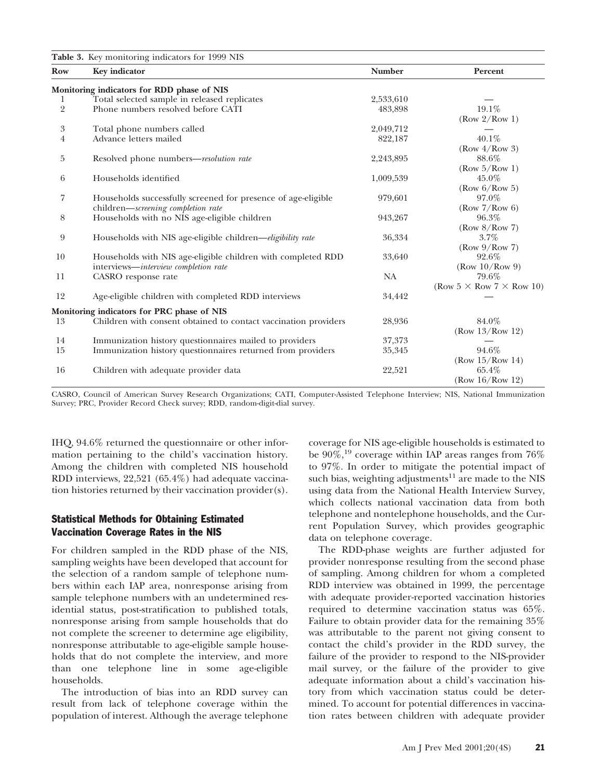| Table 3. Key monitoring indicators for 1999 NIS |                                                                 |               |                                        |
|-------------------------------------------------|-----------------------------------------------------------------|---------------|----------------------------------------|
| <b>Row</b>                                      | Key indicator                                                   | <b>Number</b> | Percent                                |
|                                                 | Monitoring indicators for RDD phase of NIS                      |               |                                        |
| 1                                               | Total selected sample in released replicates                    | 2,533,610     |                                        |
| $\overline{2}$                                  | Phone numbers resolved before CATI                              | 483,898       | $19.1\%$                               |
|                                                 |                                                                 |               | $(Row\ 2/Row\ 1)$                      |
| 3                                               | Total phone numbers called                                      | 2,049,712     |                                        |
| 4                                               | Advance letters mailed                                          | 822,187       | 40.1%                                  |
|                                                 |                                                                 |               | $(Row\ 4/Row\ 3)$                      |
| 5                                               | Resolved phone numbers—resolution rate                          | 2,243,895     | 88.6%                                  |
|                                                 |                                                                 |               | (Row 5/Row 1)                          |
| 6                                               | Households identified                                           | 1,009,539     | 45.0%                                  |
|                                                 |                                                                 |               | (Row 6/Row 5)                          |
| 7                                               | Households successfully screened for presence of age-eligible   | 979,601       | 97.0%                                  |
|                                                 | children-screening completion rate                              |               | (Row 7/Row 6)                          |
| 8                                               | Households with no NIS age-eligible children                    | 943,267       | 96.3%                                  |
|                                                 |                                                                 |               | (Row 8/Row 7)                          |
| 9                                               | Households with NIS age-eligible children—eligibility rate      | 36,334        | $3.7\%$                                |
|                                                 |                                                                 |               | $(Row\ 9/Row\ 7)$                      |
| 10                                              | Households with NIS age-eligible children with completed RDD    | 33,640        | 92.6%                                  |
|                                                 | interviews—interview completion rate                            |               | (Row 10/Row 9)                         |
| 11                                              | CASRO response rate                                             | <b>NA</b>     | 79.6%                                  |
|                                                 |                                                                 |               | (Row $5 \times$ Row $7 \times$ Row 10) |
| 12                                              | Age-eligible children with completed RDD interviews             | 34,442        |                                        |
|                                                 | Monitoring indicators for PRC phase of NIS                      |               |                                        |
| 13                                              | Children with consent obtained to contact vaccination providers | 28,936        | 84.0%                                  |
|                                                 |                                                                 |               | (Row 13/Row 12)                        |
| 14                                              | Immunization history questionnaires mailed to providers         | 37,373        |                                        |
| 15                                              | Immunization history questionnaires returned from providers     | 35,345        | 94.6%                                  |
|                                                 |                                                                 |               | (Row $15/Row 14$ )                     |
| 16                                              | Children with adequate provider data                            | 22,521        | 65.4%                                  |
|                                                 |                                                                 |               | (Row 16/Row 12)                        |

CASRO, Council of American Survey Research Organizations; CATI, Computer-Assisted Telephone Interview; NIS, National Immunization Survey; PRC, Provider Record Check survey; RDD, random-digit-dial survey.

IHQ, 94.6% returned the questionnaire or other information pertaining to the child's vaccination history. Among the children with completed NIS household RDD interviews, 22,521 (65.4%) had adequate vaccination histories returned by their vaccination provider(s).

## Statistical Methods for Obtaining Estimated Vaccination Coverage Rates in the NIS

For children sampled in the RDD phase of the NIS, sampling weights have been developed that account for the selection of a random sample of telephone numbers within each IAP area, nonresponse arising from sample telephone numbers with an undetermined residential status, post-stratification to published totals, nonresponse arising from sample households that do not complete the screener to determine age eligibility, nonresponse attributable to age-eligible sample households that do not complete the interview, and more than one telephone line in some age-eligible households.

The introduction of bias into an RDD survey can result from lack of telephone coverage within the population of interest. Although the average telephone coverage for NIS age-eligible households is estimated to be  $90\%$ ,<sup>19</sup> coverage within IAP areas ranges from  $76\%$ to 97%. In order to mitigate the potential impact of such bias, weighting adjustments<sup>11</sup> are made to the NIS using data from the National Health Interview Survey, which collects national vaccination data from both telephone and nontelephone households, and the Current Population Survey, which provides geographic data on telephone coverage.

The RDD-phase weights are further adjusted for provider nonresponse resulting from the second phase of sampling. Among children for whom a completed RDD interview was obtained in 1999, the percentage with adequate provider-reported vaccination histories required to determine vaccination status was 65%. Failure to obtain provider data for the remaining 35% was attributable to the parent not giving consent to contact the child's provider in the RDD survey, the failure of the provider to respond to the NIS-provider mail survey, or the failure of the provider to give adequate information about a child's vaccination history from which vaccination status could be determined. To account for potential differences in vaccination rates between children with adequate provider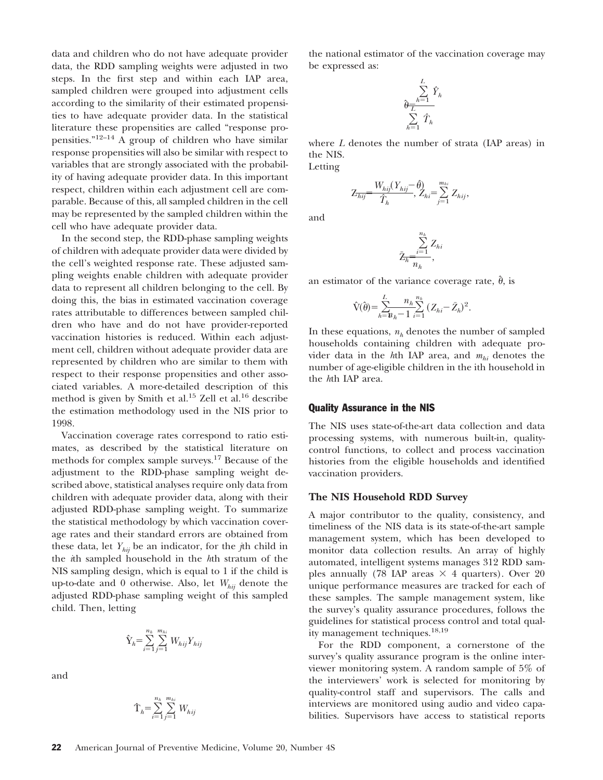data and children who do not have adequate provider data, the RDD sampling weights were adjusted in two steps. In the first step and within each IAP area, sampled children were grouped into adjustment cells according to the similarity of their estimated propensities to have adequate provider data. In the statistical literature these propensities are called "response propensities."12–14 A group of children who have similar response propensities will also be similar with respect to variables that are strongly associated with the probability of having adequate provider data. In this important respect, children within each adjustment cell are comparable. Because of this, all sampled children in the cell may be represented by the sampled children within the cell who have adequate provider data.

In the second step, the RDD-phase sampling weights of children with adequate provider data were divided by the cell's weighted response rate. These adjusted sampling weights enable children with adequate provider data to represent all children belonging to the cell. By doing this, the bias in estimated vaccination coverage rates attributable to differences between sampled children who have and do not have provider-reported vaccination histories is reduced. Within each adjustment cell, children without adequate provider data are represented by children who are similar to them with respect to their response propensities and other associated variables. A more-detailed description of this method is given by Smith et al.<sup>15</sup> Zell et al.<sup>16</sup> describe the estimation methodology used in the NIS prior to 1998.

Vaccination coverage rates correspond to ratio estimates, as described by the statistical literature on methods for complex sample surveys.17 Because of the adjustment to the RDD-phase sampling weight described above, statistical analyses require only data from children with adequate provider data, along with their adjusted RDD-phase sampling weight. To summarize the statistical methodology by which vaccination coverage rates and their standard errors are obtained from these data, let  $Y_{hii}$  be an indicator, for the  $j$ th child in the *i*th sampled household in the *h*th stratum of the NIS sampling design, which is equal to 1 if the child is up-to-date and 0 otherwise. Also, let *Whij* denote the adjusted RDD-phase sampling weight of this sampled child. Then, letting

$$
\hat{Y}_h = \sum_{i=1}^{n_h} \sum_{j=1}^{m_{hi}} W_{hij} Y_{hij}
$$

and

$$
\hat{\text{T}}_h \text{=}\sum_{i=1}^{n_h}\sum_{j=1}^{m_{hi}} W_{hij}
$$

the national estimator of the vaccination coverage may be expressed as:

$$
\hat{\theta} = \frac{\sum_{h=1}^{L} \hat{Y}_h}{\sum_{h=1}^{L} \hat{T}_h}
$$

where *L* denotes the number of strata (IAP areas) in the NIS.

Letting

$$
Z_{hij} = \frac{W_{hij}(Y_{hij} - \hat{\theta})}{\hat{T}_h}, Z_{hi} = \sum_{j=1}^{m_{hi}} Z_{hij},
$$

and

$$
\sum_{i=1}^{n_h} Z_{hi}
$$

$$
\bar{Z}_h = \frac{\sum_{i=1}^{n_h} Z_{hi}}{n_h},
$$

an estimator of the variance coverage rate,  $\hat{\theta}$ , is

$$
\hat{\mathbf{V}}(\hat{\boldsymbol{\theta}}) \!=\! \sum_{h=\mathbf{u}_h}^{L} \!\!\! \frac{n_h}{1} \sum_{i=1}^{n_h} \big( Z_{hi} \!-\! \bar{Z}_h \big)^2.
$$

In these equations,  $n_h$  denotes the number of sampled households containing children with adequate provider data in the  $h$ th IAP area, and  $m_{hi}$  denotes the number of age-eligible children in the ith household in the *h*th IAP area.

#### Quality Assurance in the NIS

The NIS uses state-of-the-art data collection and data processing systems, with numerous built-in, qualitycontrol functions, to collect and process vaccination histories from the eligible households and identified vaccination providers.

#### **The NIS Household RDD Survey**

A major contributor to the quality, consistency, and timeliness of the NIS data is its state-of-the-art sample management system, which has been developed to monitor data collection results. An array of highly automated, intelligent systems manages 312 RDD samples annually (78 IAP areas  $\times$  4 quarters). Over 20 unique performance measures are tracked for each of these samples. The sample management system, like the survey's quality assurance procedures, follows the guidelines for statistical process control and total quality management techniques.18,19

For the RDD component, a cornerstone of the survey's quality assurance program is the online interviewer monitoring system. A random sample of 5% of the interviewers' work is selected for monitoring by quality-control staff and supervisors. The calls and interviews are monitored using audio and video capabilities. Supervisors have access to statistical reports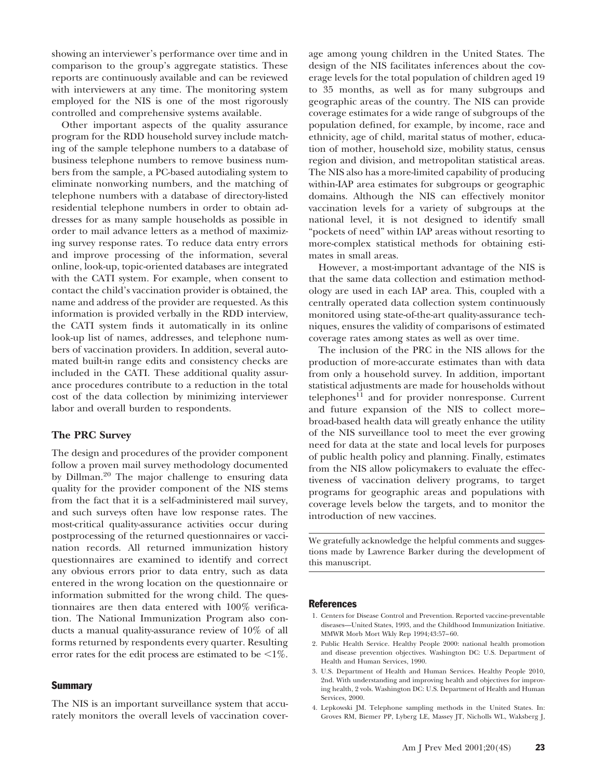showing an interviewer's performance over time and in comparison to the group's aggregate statistics. These reports are continuously available and can be reviewed with interviewers at any time. The monitoring system employed for the NIS is one of the most rigorously controlled and comprehensive systems available.

Other important aspects of the quality assurance program for the RDD household survey include matching of the sample telephone numbers to a database of business telephone numbers to remove business numbers from the sample, a PC-based autodialing system to eliminate nonworking numbers, and the matching of telephone numbers with a database of directory-listed residential telephone numbers in order to obtain addresses for as many sample households as possible in order to mail advance letters as a method of maximizing survey response rates. To reduce data entry errors and improve processing of the information, several online, look-up, topic-oriented databases are integrated with the CATI system. For example, when consent to contact the child's vaccination provider is obtained, the name and address of the provider are requested. As this information is provided verbally in the RDD interview, the CATI system finds it automatically in its online look-up list of names, addresses, and telephone numbers of vaccination providers. In addition, several automated built-in range edits and consistency checks are included in the CATI. These additional quality assurance procedures contribute to a reduction in the total cost of the data collection by minimizing interviewer labor and overall burden to respondents.

#### **The PRC Survey**

The design and procedures of the provider component follow a proven mail survey methodology documented by Dillman.<sup>20</sup> The major challenge to ensuring data quality for the provider component of the NIS stems from the fact that it is a self-administered mail survey, and such surveys often have low response rates. The most-critical quality-assurance activities occur during postprocessing of the returned questionnaires or vaccination records. All returned immunization history questionnaires are examined to identify and correct any obvious errors prior to data entry, such as data entered in the wrong location on the questionnaire or information submitted for the wrong child. The questionnaires are then data entered with 100% verification. The National Immunization Program also conducts a manual quality-assurance review of 10% of all forms returned by respondents every quarter. Resulting error rates for the edit process are estimated to be  $\leq 1\%$ .

#### **Summary**

The NIS is an important surveillance system that accurately monitors the overall levels of vaccination coverage among young children in the United States. The design of the NIS facilitates inferences about the coverage levels for the total population of children aged 19 to 35 months, as well as for many subgroups and geographic areas of the country. The NIS can provide coverage estimates for a wide range of subgroups of the population defined, for example, by income, race and ethnicity, age of child, marital status of mother, education of mother, household size, mobility status, census region and division, and metropolitan statistical areas. The NIS also has a more-limited capability of producing within-IAP area estimates for subgroups or geographic domains. Although the NIS can effectively monitor vaccination levels for a variety of subgroups at the national level, it is not designed to identify small "pockets of need" within IAP areas without resorting to more-complex statistical methods for obtaining estimates in small areas.

However, a most-important advantage of the NIS is that the same data collection and estimation methodology are used in each IAP area. This, coupled with a centrally operated data collection system continuously monitored using state-of-the-art quality-assurance techniques, ensures the validity of comparisons of estimated coverage rates among states as well as over time.

The inclusion of the PRC in the NIS allows for the production of more-accurate estimates than with data from only a household survey. In addition, important statistical adjustments are made for households without  $telephones<sup>11</sup>$  and for provider nonresponse. Current and future expansion of the NIS to collect more– broad-based health data will greatly enhance the utility of the NIS surveillance tool to meet the ever growing need for data at the state and local levels for purposes of public health policy and planning. Finally, estimates from the NIS allow policymakers to evaluate the effectiveness of vaccination delivery programs, to target programs for geographic areas and populations with coverage levels below the targets, and to monitor the introduction of new vaccines.

We gratefully acknowledge the helpful comments and suggestions made by Lawrence Barker during the development of this manuscript.

#### References

- 1. Centers for Disease Control and Prevention. Reported vaccine-preventable diseases—United States, 1993, and the Childhood Immunization Initiative. MMWR Morb Mort Wkly Rep 1994;43:57-60.
- 2. Public Health Service. Healthy People 2000: national health promotion and disease prevention objectives. Washington DC: U.S. Department of Health and Human Services, 1990.
- 3. U.S. Department of Health and Human Services. Healthy People 2010, 2nd. With understanding and improving health and objectives for improving health, 2 vols. Washington DC: U.S. Department of Health and Human Services, 2000.
- 4. Lepkowski JM. Telephone sampling methods in the United States. In: Groves RM, Biemer PP, Lyberg LE, Massey JT, Nicholls WL, Waksberg J,